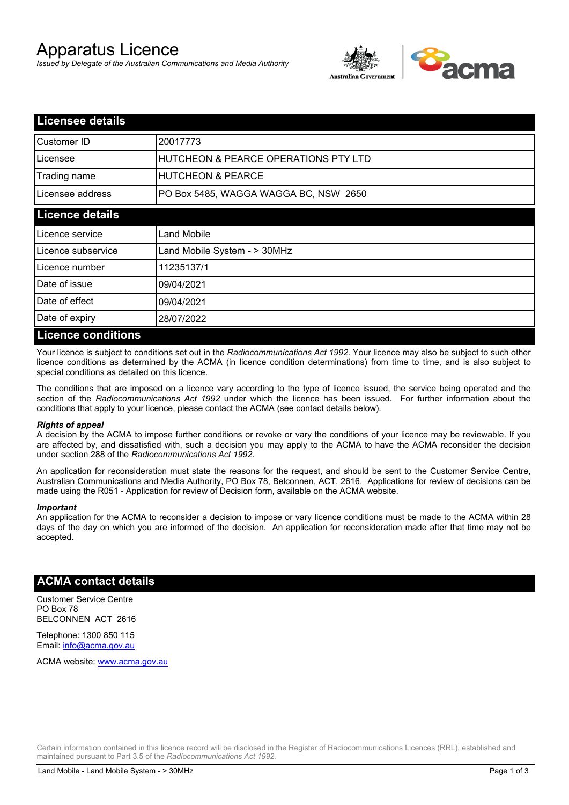# Apparatus Licence

*Issued by Delegate of the Australian Communications and Media Authority*



| <b>Licensee details</b>   |                                                 |  |
|---------------------------|-------------------------------------------------|--|
| Customer ID               | 20017773                                        |  |
| Licensee                  | <b>HUTCHEON &amp; PEARCE OPERATIONS PTY LTD</b> |  |
| Trading name              | <b>HUTCHEON &amp; PEARCE</b>                    |  |
| Licensee address          | PO Box 5485, WAGGA WAGGA BC, NSW 2650           |  |
| <b>Licence details</b>    |                                                 |  |
| Licence service           | Land Mobile                                     |  |
| Licence subservice        | Land Mobile System - > 30MHz                    |  |
| Licence number            | 11235137/1                                      |  |
| Date of issue             | 09/04/2021                                      |  |
| Date of effect            | 09/04/2021                                      |  |
| Date of expiry            | 28/07/2022                                      |  |
| <b>Licence conditions</b> |                                                 |  |

Your licence is subject to conditions set out in the *Radiocommunications Act 1992*. Your licence may also be subject to such other licence conditions as determined by the ACMA (in licence condition determinations) from time to time, and is also subject to special conditions as detailed on this licence.

The conditions that are imposed on a licence vary according to the type of licence issued, the service being operated and the section of the *Radiocommunications Act 1992* under which the licence has been issued. For further information about the conditions that apply to your licence, please contact the ACMA (see contact details below).

### *Rights of appeal*

A decision by the ACMA to impose further conditions or revoke or vary the conditions of your licence may be reviewable. If you are affected by, and dissatisfied with, such a decision you may apply to the ACMA to have the ACMA reconsider the decision under section 288 of the *Radiocommunications Act 1992*.

An application for reconsideration must state the reasons for the request, and should be sent to the Customer Service Centre, Australian Communications and Media Authority, PO Box 78, Belconnen, ACT, 2616. Applications for review of decisions can be made using the R051 - Application for review of Decision form, available on the ACMA website.

#### *Important*

An application for the ACMA to reconsider a decision to impose or vary licence conditions must be made to the ACMA within 28 days of the day on which you are informed of the decision. An application for reconsideration made after that time may not be accepted.

### **ACMA contact details**

Customer Service Centre PO Box 78 BELCONNEN ACT 2616

Telephone: 1300 850 115 Email: info@acma.gov.au

ACMA website: www.acma.gov.au

Certain information contained in this licence record will be disclosed in the Register of Radiocommunications Licences (RRL), established and maintained pursuant to Part 3.5 of the *Radiocommunications Act 1992.*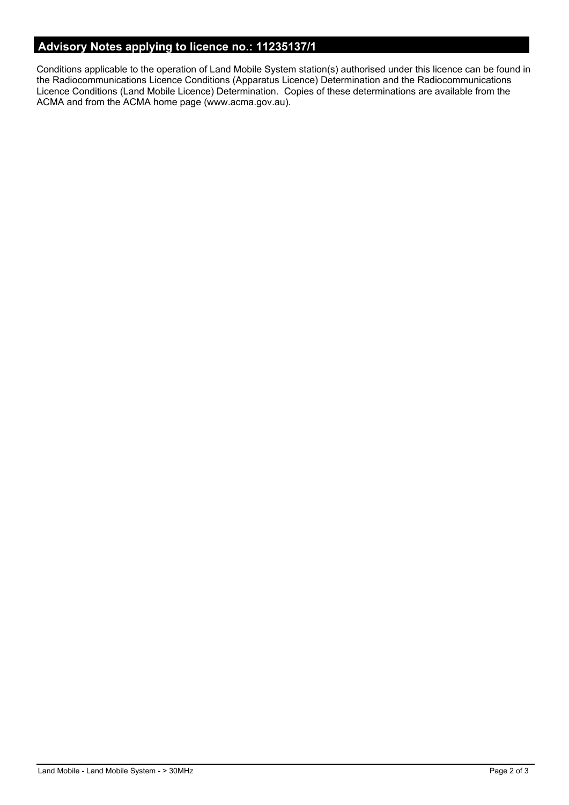# **Advisory Notes applying to licence no.: 11235137/1**

Conditions applicable to the operation of Land Mobile System station(s) authorised under this licence can be found in the Radiocommunications Licence Conditions (Apparatus Licence) Determination and the Radiocommunications Licence Conditions (Land Mobile Licence) Determination. Copies of these determinations are available from the ACMA and from the ACMA home page (www.acma.gov.au).